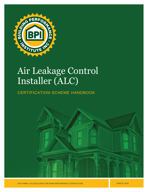

# Air Leakage Control Installer (ALC)

# CERTIFICATION SCHEME HANDBOOK



THE SYMBOL OF EXCELLENCE FOR HOME PERFORMANCE CONTRACTORS

**JUNE 01, 2022**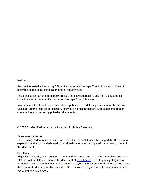#### **Notice**

Anyone interested in becoming BPI certified as an Air Leakage Control Installer, will need to know the scope of the certification and all requirements.

This certification scheme handbook outlines the knowledge, skills and abilities needed for individuals to become certified as an Air Leakage Control Installer.

Information in this handbook represents the policies at the date of publication for the BPI Air Leakage Control Installer certification. Information in this handbook supersedes information contained in any previously published documents.

© 2022 Building Performance Institute, Inc. All Rights Reserved.

#### **Acknowledgements**

The Building Performance Institute, Inc. would like to thank those who support the BPI national expansion and all of the dedicated professionals who have participated in the development of this document.

#### **Disclaimer**

Eligibility standards, exam content, exam standards, fees, and guidelines are subject to change. BPI will post the latest version of this document at [www.bpi.org.](http://www.bpi.org/) Prior to participating in any available service through BPI, check to ensure that you have based your decision to proceed on the most up-to-date information available. BPI reserves the right to modify documents prior to accepting any application.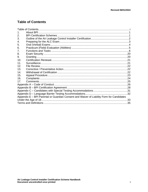# <span id="page-2-0"></span>**Table of Contents**

| $\mathbf 1$ .   |                                                                                           |  |
|-----------------|-------------------------------------------------------------------------------------------|--|
| 2.              |                                                                                           |  |
| 3.              |                                                                                           |  |
| 4.              |                                                                                           |  |
| 5.              |                                                                                           |  |
| 6.              |                                                                                           |  |
| 7.              |                                                                                           |  |
| 8.              |                                                                                           |  |
| 9.              |                                                                                           |  |
| 10.             |                                                                                           |  |
| 11.             |                                                                                           |  |
| 12.             |                                                                                           |  |
| 13.             |                                                                                           |  |
| 14              |                                                                                           |  |
| 15.             |                                                                                           |  |
| 16.             |                                                                                           |  |
| 17 <sub>1</sub> |                                                                                           |  |
|                 |                                                                                           |  |
|                 |                                                                                           |  |
|                 |                                                                                           |  |
|                 |                                                                                           |  |
|                 | Appendix E - BPI Parental or Guardian Consent and Waiver of Liability Form for Candidates |  |
|                 |                                                                                           |  |
|                 |                                                                                           |  |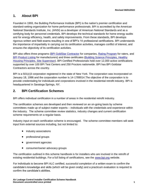# <span id="page-3-0"></span>**1. About BPI**

Founded in 1993, the Building Performance Institute (BPI) is the nation's premier certification and standard-setting organization for home performance professionals. BPI is accredited by the American National Standards Institute, Inc. (ANSI) as a developer of American National Standards and as a certifying body for personnel credentials. BPI develops the technical standards for home energy audits and for energy efficiency, health, and safety improvements. From these standards, BPI develops rigorous written and field exams resulting in one of BPI's 14 professional certifications. BPI understands the importance of impartiality in carrying out its certification activities, manages conflict of interest, and ensures the objectivity of its certification activities.

BPI also offers three programs [\(BPI GoldStar](http://www.bpi.org/bpi-goldstar-contractors) Contractor for companies, [Rating Program](http://www.bpi.org/bpi-raters) for raters, and [BPI](http://www.bpi.org/product-listing) [Product](http://www.bpi.org/product-listing) Listing for manufacturers) and three certificates (Building [Science Principles,](http://www.bpi.org/building-science-principles) [Healthy](http://www.bpi.org/healthy-housing-principles)  [Housing Principles,](http://www.bpi.org/healthy-housing-principles) [Site Supervisor\)](http://www.bpi.org/sitesupervisorcertificate). BPI Certified Professionals hold over 12,000 active certifications supported by over 100 BPI Test Centers and 250 Proctors nationwide. BPI has BPI Goldstar Contractors across the country.

BPI is a 501(c)3 corporation registered in the state of New York. The corporation was incorporated on January 18, 1996 and the corporation number is 14-1789014.The objective of the corporation is to provide credentialing for individuals and corporations involved in the residential retrofit industry. BPI is headquartered in Saratoga Springs, NY.

# <span id="page-3-1"></span>**2. BPI Certification Schemes**

BPI offers individual certification in a number of areas in the residential retrofit industry.

The certification schemes are developed and then reviewed on an on-going basis by scheme committees made up of subject matter experts – individuals with the credentials and experience within the industry. The scheme committee review statistics, industry changes and current certification scheme requirements on a regular basis.

Industry input on each certification scheme is encouraged. The scheme committee members will seek input from external sources including, but not limited to:

- industry associations
- professional groups
- government agencies
- consumer/owner advocacy groups

The certification outlined in this scheme handbook is for installers who are involved in the retrofit of existing residential buildings. For a full listing of certifications, see the [www.bpi.org](http://www.bpi.org/) website.

For individuals to become BPI ALC certified, successful completion of a written exam to confirm the candidate's knowledge and skills (which will be given orally) and a practicum evaluation is required to confirm the candidate's abilities.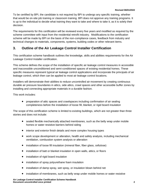To be certified by BPI, the candidate is not required by BPI to undergo any specific training, whether that would be on-site job training or classroom training. BPI does not approve any training programs. It is up to the individual to decide what training they want to take and where to take it, as it is solely their decision.

The requirements for this certification will be reviewed every five years and modified as required by the scheme committee with input from the residential retrofit industry. Modifications to the certification scheme will be made by BPI on the basis of the non-compliance cases, feedback from industry and technical changes to materials, components, systems, building codes or other relevant items.

# <span id="page-4-0"></span>**3. Outline of the Air Leakage Control Installer Certification**

This certification scheme handbook outlines the knowledge, skills and abilities requirements for the Air Leakage Control Installer certification.

This scheme defines the scope of the installation of specific air leakage control measures in accessible and inaccessible unconditioned and semi-conditioned spaces of existing residential homes. These specific measures represent typical air leakage control applications and incorporate the principals of air leakage control, which then can be applied to most air leakage control locations.

Installers will demonstrate their abilities to reduce uncontrolled air movement by creating continuous durable air pressure boundaries in attics, side attics, crawl spaces and other accessible buffer zones by installing and connecting appropriate materials in a durable fashion.

This work includes:

• preparation of attic spaces and crawlspaces including confirmation of air sealing completeness before the installation of loose fill, blanket, or rigid board insulation

The scope of this certification scheme is limited to existing buildings, which are not greater than three stories and does not include:

- sealed flexible mechanically attached membranes, such as the belly wrap under mobile homes or water resistive barriers behind siding
- interior and exterior finish details and more complex housing types
- work scope development or alteration, health and safety analysis, including mechanical ventilation, combustion system analysis or alteration
- installation of loose fill insulation (mineral fiber, fiber glass, cellulose)
- installation of batt or blanket insulation in open walls, attics, or floors
- installation of rigid board insulation
- installation of spray polyurethane foam insulation
- installation of damp spray, wet spray, or insulation blown behind net
- installation of membranes, such as belly wrap under mobile homes or water resistive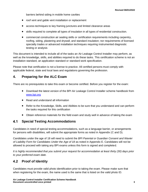barriers behind siding in mobile home cavities

- roof vent and gable vent installation or replacement
- access techniques to key framing junctures and limited clearance areas
- skills required to complete all types of insulation in all types of residential construction.
- commercial construction air sealing skills or certification requirements including carpentry, roofing, siding, plastering and drywall, and standard insulation; nor requirements of licensed specialty trades or advanced installation techniques requiring instrumented diagnostic testing or analysis

This document is intended to include all of the tasks an Air Leakage Control Installer may perform, as well as the knowledge, skills, and abilities required to do these tasks. This certification scheme is not an installation standard, an application standard or standard work specification.

Please note that certification is not a license to practice. All certified persons must comply with applicable federal, state and local laws and regulations governing the profession.

# <span id="page-5-0"></span>**4. Preparing for the ALC Exam**

There are no prerequisites to take this exam or become certified. Before you register for the exam:

- Download the latest version of the BPI Air Leakage Control Installer scheme handbook from [www.bpi.org](http://www.bpi.org/)
- Read and understand all information
- Refer to the Knowledge, Skills, and Abilities to be sure that you understand and can perform the tasks required for this certification
- Obtain reference materials for the field exam and study well in advance of taking the exam

#### $4.1$ **Special Testing Accommodations**

Candidates in need of special testing accommodations, such as a language barrier, or arrangements for persons with disabilities, will submit the appropriate forms as noted in Appendix (C and D).

Candidates under the age of 18 will need to submit the *BPI Parental or Guardian Consent and Wavier of Liaibility Form for Candidates Under the Age of 18* as noted in Appendix E. Candidates will not be allowed to proceed with taking any BPI exams unless this form is signed and completed.

*It is highly recommended that you submit your request for accommodation at least thirty (30) days prior to your preferred exam date.*

#### $4.2$ **Proof of Identity**

Candidates must provide valid photo identification prior to taking the exam. Please make sure that when registering for the exam, the name used is the same that is listed on the valid photo ID.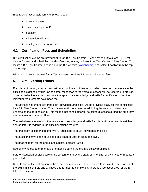Examples of acceptable forms of photo ID are:

- driver's license
- state issued photo ID
- passport
- military identification
- employee identification card

#### $4.3$ **Certification Fees and Scheduling**

BPI certification exams are provided through BPI Test Centers. Please reach out to a local BPI Test Center for fees and scheduling details of exams, as they will vary from Test Center to Test Center. To locate a BPI Test Center, please go to the BPI website [\(www.bpi.org\)](http://www.bpi.org/) and select **Locator** from the top of the page.

BPI does not set schedules for its Test Centers, nor does BPI collect the exam fees.

# <span id="page-6-0"></span>**5. Oral (Verbal) Exams**

For this certification, a verbal test instrument will be administered in order to ensure competency in the critical tasks defined by BPI. Candidates' responses to the verbal questions will be recorded to provide documented evidence that they have the appropriate knowledge and skills for certification when the minimum requirements have been met.

The BPI test instrument, covering both knowledge and skills, will be provided orally for this certification by a BPI Test Center proctor. This oral exam will be administered during the time candidates are undergoing the abilities exam. This means that candidates will be asked questions during the time they are demonstrating their abilities.

The verbal exam focuses on the key areas of knowledge and skills for this certification and is weighted appropriately in regards to the critical functions required.

The oral exam is comprised of forty (40) questions to cover knowledge and skills.

The questions have been developed at a grade 8 English language level.

The passing mark for the oral exam is ninety percent (90%).

Use of any notes, other manuals or materials during the exam is strictly prohibited.

Future discussion or disclosure of the content of the exam, orally or in writing, or by any other means, is prohibited.

Upon failure of the oral portion of the exam, the candidate will be required to re-take the oral portion of the exam in it's entirely and will have one (1) hour to complete it. There is a fee associated for the retake of the exam.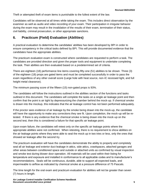Theft or attempted theft of exam items is punishable to the fullest extent of the law.

Candidates will be observed at all times while taking the exam. This includes direct observation by the examiner as well as audio and video recording of your exam. Their participation in irregular behavior during the exam may result in the invalidation of the results of their exam, termination of their status, civil liability, criminal prosecution, or other appropriate sanctions.

# <span id="page-7-0"></span>**6. Practicum (Field) Evaluation (Abilities)**

A practical evaluation to determine the candidates' abilities has been developed by BPI in order to ensure competency in the critical tasks defined by BPI. This will provide documented evidence that the candidates have the appropriate abilities.

The practicum evaluation exam is constructed where candidates are requested to perform a task. The candidates are provided direction and given the proper tools and equipment to undertake completing the task. Their abilities are then evaluated based on a predetermined set of criteria.

There are eighteen (18) performance line items covering fifty-one (51) abilities to be shown. Three (3) of the eighteen (18) props are gated items and must be completed successfully in order to pass the exam regardless of any other overall score (Large hole with heat source, non-IC recessed light, and full height metal clearance).

The minimum passing score of the fifteen (15) non-gated props is 93%.

The candidates will follow the instructions outlined in the abilities section of the functions and tasks outlined in this document. The candidates will complete the tasks on a single air leakage point and then confirm that the point is air tight by depressurizing the chamber behind the mock-up. If chemical smoke is drawn into the mockup, this indicates that the air leakage control has not been performed adequately.

If the proctor sees evidence of air leakage by the smoke being drawn into the mock-up, the candidate will have the opportunity to make any corrections they see fit. Upon completion, the mock-up will be retested. If there is any evidence that the chemical smoke is being drawn into the mock-up on the second test, then this is considered a failure for that specific air leakage point.

Upon exam failure, the candidates will retest only on the specific air leakage points where the appropriate abilities were not confirmed. When retesting, there is no requirement to show abilities on the air leakage points where they were able to seal the mock up in two tries or less, only the ones that showed air leakage after the second try.

The practicum evaluation will have the candidates demonstrate the ability to properly and completely seal all air leakage and exterior duct leakage in attics, side attics, crawlspaces, attached garages and other areas between conditioned space and outside or attached units as confirmed by visual inspection and smoke test during blower door operation. All materials will be used within their listing for temperature and exposure and installed in conformance to all applicable codes and to manufacturer's recommendations. Seals will be continuous, durable, able to support all expected loads, and impermeable to airflow as indicated by chemical smoke at a pressure difference of 75 Pascals.

The time length for the oral exam and practicum evaluation for abilities will not be greater than seven (7) hours in length.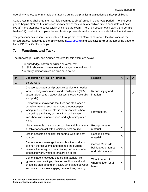Use of any notes, other manuals or materials during the practicum evaluation is strictly prohibited.

Candidates may challenge the ALC field exam up to six (6) times in a one-year period. The one-year period begins after the first unsuccessful attempt of the exam, after which time a candidate will have five (5) more attempts to successfully challenge the exam. There is a cost for each exam. BPI permits twelve (12) months to complete the certification process from the time a candidate takes the first exam.

The practicum evaluation is administered through BPI Test Centers at various locations across the United States. Please go to the BPI website [\(www.bpi.org\)](http://www.bpi.org/) and select **Locator** at the top of the page to find a BPI Test Center near you.

# <span id="page-8-0"></span>**7. Functions and Tasks**

The Knowledge, Skills, and Abilities required for this exam are below.

- $K =$  Knowledge, shown on written or verbal test
- S = Skill, shown on written test, diagram, or interactive tool

 $A =$  Ability, demonstrated on prop or in house

| # |              | <b>Description of Task or Function</b>                                                                                                                                                                                                                                               | <b>Reason</b>                                                         | K | S | A  |
|---|--------------|--------------------------------------------------------------------------------------------------------------------------------------------------------------------------------------------------------------------------------------------------------------------------------------|-----------------------------------------------------------------------|---|---|----|
| 1 |              | Before work                                                                                                                                                                                                                                                                          |                                                                       |   |   |    |
|   | a            | Choose basic personal protective equipment needed<br>for air sealing work in attics and crawlspaces (N95<br>dust mask or better, safety glasses, gloves, coveralls,<br>kneepads).                                                                                                    | Reduce injury and<br>irritation.                                      |   |   | X. |
|   | b            | Demonstrate knowledge that fires can start when a<br>burnable material such as a wood product, paper<br>facing, rubber caulk or plastic foam contacts a heat<br>source like a chimney or metal flue; or insulation<br>traps heat over a non-IC recessed light or improper<br>wiring. | Prevent fires.                                                        | X |   |    |
|   | C            | List an example of a non-combustible airtight material<br>suitable for contact with a chimney heat source.                                                                                                                                                                           | Recognize safe<br>material.                                           | X |   |    |
|   | d            | List an acceptable sealant for contact with the heat<br>source.                                                                                                                                                                                                                      | Recognize safe<br>material.                                           | X |   |    |
|   | $\mathbf e$  | Demonstrate knowledge that combustion products<br>can hurt the occupants and damage the building<br>unless all fumes go up the chimney before and after<br>air sealing work, whether fans are on or off.                                                                             | <b>Carbon Monoxide</b><br>buildup, other fumes<br>and extra moisture. | X |   |    |
|   | $\mathsf{f}$ | Demonstrate knowledge that solid materials like<br>gypsum board ceilings, plywood subfloors and wall<br>sheathing stop air and only allow air leakage between<br>sections at open joints, gaps, penetrations, framing                                                                | What to attach to,<br>where to look for air<br>leaks.                 | X |   |    |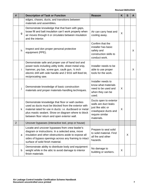| #              |    | <b>Description of Task or Function</b>                                                                                                                                                                                                                                       | <b>Reason</b>                                                                                                                 | K | S | A  |
|----------------|----|------------------------------------------------------------------------------------------------------------------------------------------------------------------------------------------------------------------------------------------------------------------------------|-------------------------------------------------------------------------------------------------------------------------------|---|---|----|
|                |    | edges, chases, ducts, and transitions between<br>materials and assemblies.                                                                                                                                                                                                   |                                                                                                                               |   |   |    |
|                | g  | Demonstrate knowledge that that foam with gaps,<br>loose fill and batt insulation can't work properly when<br>air moves through it or circulates between insulation<br>and the interior.                                                                                     | Air can carry heat and<br>cooling away.                                                                                       | X |   |    |
|                | h  | Inspect and don proper personal protective<br>equipment (PPE).                                                                                                                                                                                                               | Confirm that the<br>installer has basic<br>safety and<br>construction skills to<br>conduct work.                              |   |   | X  |
|                | i. | Demonstrate safe and proper use of hand tool and<br>power tools including utility knife, sheet metal snip,<br>hammer, pry bar, screw gun, caulk gun, 1/2 inch<br>electric drill with side handle and 2 9/16 self-feed bit,<br>reciprocating saw.                             | Installer needs to be<br>able to use proper<br>tools for the work.                                                            |   |   | X. |
|                | j  | Demonstrate knowledge of basic construction<br>materials and proper materials-handling techniques.                                                                                                                                                                           | Installer needs to<br>know what materials<br>need to be used and<br>when they can be<br>used.                                 | X |   |    |
|                | k  | Demonstrate knowledge that floor or wall cavities<br>used as ducts must be blocked from the exterior with<br>material rated for use in ducts: i.e. ductboard or metal<br>plus mastic sealant. Show on diagram where to block<br>between floor return and open exterior wall. | Ducts open to exterior<br>walls are duct leaks<br>just like attic or<br>crawlspace ducts and<br>require similar<br>materials. | X |   |    |
| $\overline{2}$ |    | Uncover bypasses (interactive tool, prop or house)                                                                                                                                                                                                                           |                                                                                                                               |   |   |    |
|                | a  | Locate and uncover bypasses from crew leader's<br>diagram or instructions. In a selected area, move<br>insulation and other obstructions aside to expose all<br>sides of bypass openings across any framing to intact<br>surface of solid finish material.                   | Prepare to seal solid<br>to solid material. Find<br>all fire and other<br>hazards.                                            |   | X |    |
|                | b  | Demonstrate ability to distribute body and equipment<br>weight while in the attic to avoid damage to interior<br>finish materials                                                                                                                                            | No damage to<br>building or workers.                                                                                          | X |   |    |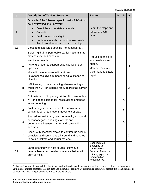| #   |              | <b>Description of Task or Function</b>                                                                                                                     | <b>Reason</b>                                                                                                                   | K | S | A  |
|-----|--------------|------------------------------------------------------------------------------------------------------------------------------------------------------------|---------------------------------------------------------------------------------------------------------------------------------|---|---|----|
|     |              | On each of the following specific tasks 3.1-3.8 (in<br>house: first find and uncover):                                                                     |                                                                                                                                 |   |   |    |
| 3   |              | Select the appropriate materials<br>$\bullet$<br>Cut to fit                                                                                                | Learn the steps and<br>repeat at each                                                                                           |   |   |    |
|     |              | Seal continuous airtight                                                                                                                                   | detail.                                                                                                                         |   |   |    |
|     |              | Confirm seal with chemical smoke <sup>1</sup> (with<br>the blower door or fan on prop running)                                                             |                                                                                                                                 |   |   |    |
| 3.1 |              | Close and seal large opening (no heat source).                                                                                                             |                                                                                                                                 |   |   |    |
|     |              | Select rigid air-impermeable barrier material that<br>matches use and exposure:<br>- air impermeable                                                       | Reduce opening to<br>what sealant can                                                                                           |   |   |    |
|     | a            | - strong enough to support expected weight or<br>pressure                                                                                                  | bridge.<br>Material must allow<br>a permanent, stable<br>repair.                                                                |   |   | X  |
|     |              | - listed for use uncovered in attic and<br>crawlspaces, gypsum board or equal if open to<br>interior                                                       |                                                                                                                                 |   |   |    |
|     | b            | Infill framing to match existing where opening is<br>wider than 24" or required for support of air barrier<br>material.                                    |                                                                                                                                 |   |   | X  |
|     | $\mathbf C$  | Cut material to fit opening: friction fit if inset or lap<br>>1" on edges if folded for inset stapling or lapped<br>across opening.                        |                                                                                                                                 |   | X |    |
|     | d            | Fasten edges where needed to stabilize until<br>sealant is set or to prevent movement or sag.                                                              |                                                                                                                                 |   | X |    |
|     | е            | Seal edges with foam, caulk, or mastic; include all<br>secondary gaps, openings, offsets and<br>penetrations between barrier and surrounding<br>substrate. |                                                                                                                                 |   | Χ |    |
|     | $\mathbf{f}$ | Check with chemical smoke to confirm the seal is<br>complete and continuous all around and adheres<br>to both substrate and barrier material.              |                                                                                                                                 |   |   | X. |
| 3.2 |              | Large opening with heat source (chimney):<br>provide barrier and sealant materials that won't<br>burn or melt.                                             | Code requires<br>clearance to<br>combustibles.<br>Surface of wood or oil<br>chimney pipe can<br>reach ignition<br>temperatures. |   |   |    |

<sup>&</sup>lt;sup>1</sup> Checking with smoke is an ability that is repeated with each specific air sealing skill because air sealing is not complete until it is confirmed complete. Hidden gaps and incomplete contacts are common and if any are present this technician needs to know and finish the job before he moves to the next task.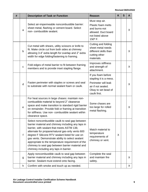| # |              | <b>Description of Task or Function</b>                                                                                                                                                                                                                                                                                                                                                                                                                            | <b>Reason</b>                                                                                                                    | K | S | A            |
|---|--------------|-------------------------------------------------------------------------------------------------------------------------------------------------------------------------------------------------------------------------------------------------------------------------------------------------------------------------------------------------------------------------------------------------------------------------------------------------------------------|----------------------------------------------------------------------------------------------------------------------------------|---|---|--------------|
|   | a            | Select air-impermeable noncombustible barrier:<br>sheet metal, flashing or cement board. Select<br>non- combustible sealant.                                                                                                                                                                                                                                                                                                                                      | Must stop air.<br>Plastic foam melts<br>and burns-not<br>allowed. Duct board<br>not listed above<br>150° F.                      |   |   | X            |
|   | b            | Cut metal with shears, utility scissors or knife to<br>fit. Make circle cut from both sides at chimney<br>allowing 3-4" extra length for overlap and 2" extra<br>width for edge folding/fastening to framing.                                                                                                                                                                                                                                                     | Cutting and folding<br>sheet metal needs<br>different skills than<br>cutting other<br>materials.                                 |   |   | X.           |
|   | $\mathbf{C}$ | Fold edges of metal barrier to fit between framing<br>members and to provide inset stapling flange.                                                                                                                                                                                                                                                                                                                                                               | Improves stiffness<br>and strength of<br>attachment.                                                                             |   |   | $\mathsf{X}$ |
|   | $\mathsf{d}$ | Fasten perimeter with staples or screws and seal<br>to substrate with normal sealant foam or caulk.                                                                                                                                                                                                                                                                                                                                                               | If you foam before<br>stapling it is a mess.<br>Perimeter will leak<br>air if not sealed.<br>Okay to set bead of<br>caulk first. |   |   | $\mathsf{X}$ |
|   | e            | For heat sources in large chases: maintain non-<br>combustible material to beyond 2" clearance<br>space and make transition to standard rigid barrier<br>on remainder. Provide fold or framing at transition<br>for stiffness. Use non- combustible sealant within<br>clearance space.                                                                                                                                                                            | Some chases are<br>too large for rolled<br>metal flashing.                                                                       |   |   | X            |
|   | f            | Select noncombustible caulk to seal gap between<br>barrier material and chimney including any laps in<br>barrier, with sealant that meets ASTM 136;<br>alternate for propane/natural gas-only vents 600<br>degree F Silicone RTV sealant listed for use on<br>gas vents. Demonstrate ability to select sealant<br>appropriate to the temperature requirement of the<br>chimney to seal gap between barrier material and<br>chimney including any laps in barrier. | Match material to<br>temperature<br>requirements of<br>chimney or vent.                                                          | X |   |              |
|   | g            | Apply noncombustible caulk to seal gap between<br>barrier material and chimney including any laps in<br>barrier. Sealant must extend onto facing.                                                                                                                                                                                                                                                                                                                 | Complete the seal<br>and maintain fire<br>safety.                                                                                |   |   | X.           |
|   | h            | Confirm with smoke and touch up as needed.                                                                                                                                                                                                                                                                                                                                                                                                                        |                                                                                                                                  |   |   | X.           |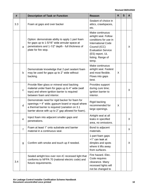| #   |              | <b>Description of Task or Function</b>                                                                                                                                                                     | <b>Reason</b>                                                                                                                                                                                 | K | S | A  |
|-----|--------------|------------------------------------------------------------------------------------------------------------------------------------------------------------------------------------------------------------|-----------------------------------------------------------------------------------------------------------------------------------------------------------------------------------------------|---|---|----|
| 3.3 |              | Foam at gaps and over backer                                                                                                                                                                               | Sealant of choice in<br>attics, crawlspaces,<br>etc.                                                                                                                                          |   |   |    |
|     | $\mathsf{a}$ | Option: demonstrate ability to apply 1 part foam<br>for gaps up to 1-5/16" wide annular space at<br>penetrations and 1-1/2" depth - full thickness of<br>plate for fire stop.                              | Make continuous<br>airtight seal. Follow<br>conditions for use in<br><b>International Code</b><br>Council (ICC)<br><b>Evaluation Service</b><br>(ES) report, UL<br>listing. Range of<br>temp. |   |   | X  |
|     | b            | Demonstrate knowledge that 2-part sealant foam<br>may be used for gaps up to 2" wide without<br>backing.                                                                                                   | Make continuous<br>airtight seal. Fastest<br>and most flexible.<br>Flows into gaps<br>best.                                                                                                   | X |   |    |
|     | $\mathbf{C}$ | Provide fiber glass or mineral wool backing<br>material under foam for gaps up to 4" wide (wall<br>tops) and where ignition barrier is required<br>between foam and interior.                              | Provides support<br>during cure time;<br>ignition barrier to<br>interior.                                                                                                                     |   |   | X  |
|     | $\mathsf{d}$ | Demonstrate need for rigid backer for foam for<br>openings > 4" wide; gypsum board or equal where<br>a thermal barrier is required (variation on 3.1<br>barrier above with up to 2" gap allowed for foam). | Rigid backing<br>recommended for<br>large openings.                                                                                                                                           | X |   |    |
|     | e            | Inject foam into adjacent smaller gaps and<br>penetrations.                                                                                                                                                | Airtight seal at all<br>leaks in specified<br>area, no omissions.                                                                                                                             |   |   | X  |
|     | f            | Foam at least 1" onto substrate and barrier<br>material in a continuous seal.                                                                                                                              | Bond to adjacent<br>materials.                                                                                                                                                                |   |   | X. |
|     | g            | Confirm with smoke and touch up if needed.                                                                                                                                                                 | 1-part foam gaps<br>>1" can leak at<br>dimples and spots<br>where it lifts away<br>from surfaces.                                                                                             |   |   | X. |
| 3.4 |              | Sealed airtight box over non-IC recessed light that<br>conforms to NFPA 70 (national electric code) and<br>fixture requirements.                                                                           | Fire hazard. Elec.<br>Code requires<br>clearance. Many<br>recessed lights will<br>not be changed to                                                                                           |   |   |    |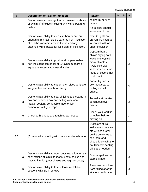| #   |              | <b>Description of Task or Function</b>                                                                                                                                                                    | <b>Reason</b>                                                                                                                                                                    | K | S |   |
|-----|--------------|-----------------------------------------------------------------------------------------------------------------------------------------------------------------------------------------------------------|----------------------------------------------------------------------------------------------------------------------------------------------------------------------------------|---|---|---|
|     |              | Demonstrate knowledge that: no insulation above<br>or within 3" of sides including any wiring box and<br>ballast.                                                                                         | sealed IC or flush<br>mount.<br>Air sealers should<br>know what to do.                                                                                                           |   |   |   |
|     | a            | Demonstrate ability to measure barrier and cut<br>enough to maintain side clearance from insulation<br>of 3 inches or more around fixture and any<br>attached wiring boxes for full height of insulation. | Non-IC lights are<br>proven fire hazards<br>in contact with or<br>under insulation.                                                                                              |   |   | X |
|     | b            | Demonstrate ability to provide air-impermeable<br>non-insulating top panel of $\frac{1}{2}$ gypsum board or<br>equal that extends to meet all sides                                                       | Gypsum board<br>allows drying both<br>ways and works in<br>many climates.<br>Avoid cold side<br>vapor retarders like<br>metal or covers that<br>could melt.                      |   |   | X |
|     | $\mathbf c$  | Demonstrate ability to cut or notch sides to fit over<br>irregularities and reach to ceiling.                                                                                                             | For air tightness,<br>box must seal to<br>ceiling and all<br>edges.                                                                                                              |   |   | X |
|     | $\mathsf{d}$ | Demonstrate ability to seal all joints and seams in<br>box and between box and ceiling with foam,<br>mastic, sealant, compatible tape, or joint<br>compound with joint tape.                              | To make air barrier<br>continuous over<br>fixture.                                                                                                                               |   |   | X |
|     | e            | Check with smoke and touch up as needed.                                                                                                                                                                  | Check your work is<br>complete before<br>moving on.                                                                                                                              |   |   | X |
| 3.5 |              | (Exterior) duct sealing with mastic and mesh tape.                                                                                                                                                        | Ducts are still air<br>leaks when they are<br>off. Air sealers will<br>be the only ones to<br>see them and<br>should know what to<br>do. Different sealing<br>skills are needed. |   |   |   |
|     | a            | Demonstrate ability to open duct insulation to seal<br>connections at joints, takeoffs, boots, trunks and<br>gaps to interior (duct chases and register boots).                                           | Duct wrap does not<br>stop leakage.                                                                                                                                              |   |   | X |
|     | b            | Demonstrate ability to fasten loose metal duct<br>sections with zip-in screws                                                                                                                             | Reconnect and keep<br>from falling apart in<br>attic or crawlspace.                                                                                                              |   |   | X |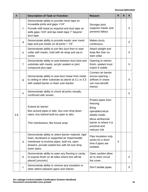| #   |              | <b>Description of Task or Function</b>                                                                                                                                                                                | <b>Reason</b>                                                                                                                                                          | K | S | A |
|-----|--------------|-----------------------------------------------------------------------------------------------------------------------------------------------------------------------------------------------------------------------|------------------------------------------------------------------------------------------------------------------------------------------------------------------------|---|---|---|
|     | $\mathbf{C}$ | Demonstrate ability to provide mesh tape on<br>moveable joints and gaps >1/4".<br>Provide infill metal as required and duct tape on<br>wide gaps >3/4" and lap mesh tape 1" beyond<br>duct tape.                      | Stronger joint,<br>supports mastic and<br>prevents fallout.                                                                                                            |   |   | X |
|     | d            | Demonstrate ability to provide mastic over mesh<br>tape and just mastic on all joints $<$ 1/4".                                                                                                                       | Makes ducts<br>continuous.                                                                                                                                             |   |   | X |
|     | e            | Demonstrate ability to join flex duct liner to start<br>collar with mastic, hold with tie strap and zip-in<br>screw.                                                                                                  | Attach airtight and<br>keep flex liner on<br>start collar.                                                                                                             |   |   | X |
|     | f            | Demonstrate ability to seal between duct boot and<br>substrate with mastic, acrylic sealant or joint<br>compound plus tape.                                                                                           | Opening to interior<br>finish, sealant must<br>match if visible.                                                                                                       |   |   | X |
|     | g            | Demonstrate ability to seal duct chase from metal<br>to ceiling or other substrate as above at 3.1 or 3.3<br>with sealed barrier or foam over backer.                                                                 | Connect air barrier<br>across opening -<br>airflows in chase<br>can now benefit<br>interior.                                                                           |   |   | X |
|     | h            | Demonstrate ability to check all joints visually,<br>confirmed with smoke.                                                                                                                                            |                                                                                                                                                                        |   |   | X |
| 3.6 |              | Extend air barrier:<br>Box around pipes in attic, box over drop down<br>stairs, box behind built-ins open to attic.<br>Thin membranes, like house wrap                                                                | Protect pipes from<br>freezing.<br><b>Bring</b><br>operable/critical<br>details inside.<br>Move air/thermal<br>barrier to where it is<br>practical and<br>reduces risk |   |   |   |
|     | a            | Demonstrate ability to select barrier material: rigid<br>foam, ductboard or supported air impermeable<br>membrane to enclose pipes, built-ins, open<br>drawers, provide sealed box with lid over drop<br>down stairs. | Pipe insulation only<br>works for a short<br>time if pipes are<br>isolated.                                                                                            | X |   |   |
|     | b            | Demonstrate ability to open any flooring or cavity<br>to expose finish on all sides where box will be<br>placed (uncover).                                                                                            | Open cavities allow<br>air to short circuit<br>the cover.                                                                                                              |   |   | X |
|     | ${\bf C}$    | Demonstrate ability to remove any insulation or<br>other debris between pipes and interior.                                                                                                                           | Don't isolate pipes.                                                                                                                                                   |   |   | X |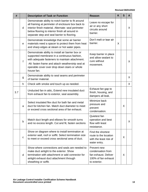| #   |             | <b>Description of Task or Function</b>                                                                                                                                                                                                                                  | <b>Reason</b>                                                                                   | K | S | A  |
|-----|-------------|-------------------------------------------------------------------------------------------------------------------------------------------------------------------------------------------------------------------------------------------------------------------------|-------------------------------------------------------------------------------------------------|---|---|----|
|     | d           | Demonstrate ability to notch barrier to fit around<br>all framing at perimeter of enclosure box back to<br>interior finish material. Alternate: seal perimeter<br>below flooring to interior finish all around in<br>separate step and seal barrier to flooring.        | Leave no escape for<br>air or any short<br>circuits around<br>barrier.                          |   |   | X. |
|     | e           | Demonstrate knowledge that some air barrier<br>materials need a spacer to protect them from heat<br>and sharp edges at steam or hot water pipes.                                                                                                                        | Don't melt or tear air<br>barrier.                                                              | X |   |    |
|     | f           | Demonstrate ability to install air barrier box or<br>supported membrane in a continuous fashion,<br>with adequate fasteners to maintain attachment.<br>Alt: fasten frame and attach weatherstrip seal at<br>operable cover over drop down stairs or whole<br>house fan. | Keep barrier in place<br>and allow sealant to<br>cure without<br>movement.                      |   |   | X. |
|     | g           | Demonstrate ability to seal seams and perimeter<br>of barrier material.                                                                                                                                                                                                 |                                                                                                 |   |   | X. |
|     | h           | Check with smoke and touch up as needed.                                                                                                                                                                                                                                |                                                                                                 |   |   | X  |
| 3.7 |             | Unducted fan in attic, Extend new insulated duct<br>from exhaust fan to exterior, seal assembly.                                                                                                                                                                        | Exhaust fan gap to<br>finish, housing, and<br>dampers all leak.                                 |   |   |    |
|     | a           | Select insulated flex duct for bath fan and metal<br>duct for kitchen fan. Match duct diameter to meet<br>or exceed cross sectional area of fan exhaust.                                                                                                                | Minimize back<br>pressure and<br>prevent<br>condensation.                                       |   | X |    |
|     | b           | Match duct length and elbows for smooth turns<br>and no excess length. Cut and fit, fasten sections                                                                                                                                                                     | Quietest fan<br>operation and best<br>flow with least<br>resistance.                            |   |   | X  |
|     | $\mathbf C$ | Show on diagram where to install termination at<br>exterior wall, roof or soffit. Select termination size<br>to meet or exceed cross sectional area of duct.                                                                                                            | Find the shortest<br>route to the location<br>with the least risk of<br>water entry.            |   | X |    |
|     | d           | Show where connections and seals are needed to<br>make duct airtight to the exterior. Show<br>termination with attachment or add connector for<br>airtight exhaust duct attachment through<br>sheathing or soffit.                                                      | Prevent new<br>condensation from<br>fan exhaust. Deliver<br>100% of fan exhaust<br>to exterior. |   | X |    |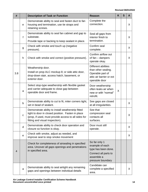| #   |             | <b>Description of Task or Function</b>                                                                                                                                                             | <b>Reason</b>                                                                                                      | K | S | A  |
|-----|-------------|----------------------------------------------------------------------------------------------------------------------------------------------------------------------------------------------------|--------------------------------------------------------------------------------------------------------------------|---|---|----|
|     | $\mathbf e$ | Demonstrate ability to seal and fasten duct to fan<br>housing and termination, use tie straps and<br>retaining screws.                                                                             | Complete the<br>connection.                                                                                        |   |   | X  |
|     | f           | Demonstrate ability to seal fan cabinet and gap to<br>substrate.<br>Provide tape or backing to keep sealant in place.                                                                              | Seal all gaps from<br>interior finish to<br>termination.                                                           |   |   | X  |
|     | g           | Check with smoke and touch up (negative<br>pressure).                                                                                                                                              | Confirm seal<br>complete.                                                                                          |   |   | X  |
|     | h           | Check with smoke and correct (positive pressure).                                                                                                                                                  | Confirm airflow out<br>of fan - dampers<br>operate okay.                                                           |   |   | X  |
| 3.8 |             | Weatherstrip door.<br>Install on prop ALC mockup 8; or side attic door,<br>drop-down stair, access hatch, basement, or<br>exterior door.                                                           | Different abilities<br>than other sealing.<br>Operable part of<br>attic air barrier or ext<br>operable door        |   |   |    |
|     | a           | Select stop-type weatherstrip with flexible gasket<br>and carrier adequate to close gap between<br>operable door and frame.                                                                        | Door weatherstrip<br>often leaks air when<br>new or with "normal"<br>retrofit.                                     | X |   |    |
|     | b           | Demonstrate ability to cut to fit, miter corners tight,<br>set in bead of sealant.                                                                                                                 | See gaps are closed<br>at all irregularities.                                                                      |   |   | X  |
|     | C           | Demonstrate ability to install weatherstrip fitted<br>tight to door in closed position. Fasten in place<br>(prop, if used, must provide access to all sides for<br>fitting and visual inspection). | See that<br>compression seal<br>contacts all<br>surfaces.                                                          |   |   | X  |
|     | d           | Demonstrate ability to check door operation and<br>closure so function is okay.                                                                                                                    | Door must still<br>operate.                                                                                        |   |   | X. |
|     | e           | Check with smoke, adjust as needed, and<br>improve seal to stop smoke movement                                                                                                                     |                                                                                                                    |   |   | X  |
| 4   |             | Check for completeness of airsealing in specified<br>area. Uncover all gaps openings and penetrations<br>in specified area.                                                                        | So far only 1<br>example of each<br>type has been done.<br>Connect all parts to<br>assemble a<br>pressure boundary |   |   |    |
|     | a           | Demonstrate ability to seal airtight any remaining<br>gaps and openings between individual details                                                                                                 | Candidate can<br>complete a specified<br>area.                                                                     |   |   | X  |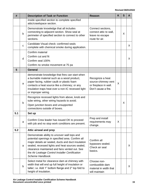| #   |             | <b>Description of Task or Function</b>                                                                                                                                                                                                                                                                                               | <b>Reason</b>                                                                           | K | S | A            |
|-----|-------------|--------------------------------------------------------------------------------------------------------------------------------------------------------------------------------------------------------------------------------------------------------------------------------------------------------------------------------------|-----------------------------------------------------------------------------------------|---|---|--------------|
|     |             | inside specified section to complete specified<br>attic/crawlspace section.                                                                                                                                                                                                                                                          |                                                                                         |   |   |              |
|     | b           | Demonstrate knowledge that all includes<br>connecting to adjacent section. Show seal at<br>perimeter of specified section to connect to other<br>sections.                                                                                                                                                                           | Connect sections,<br>connect attic to wall,<br>leave no escape<br>route for air.        |   | X |              |
|     | $\mathbf C$ | Candidate Visual check: confirmed seals<br>complete with chemical smoke during application.                                                                                                                                                                                                                                          |                                                                                         |   |   | $\mathsf{X}$ |
|     | d           | Confirm material<br>Confirm cut and fit<br>Confirm seal 100%<br>Confirm no smoke movement at 75 pa                                                                                                                                                                                                                                   |                                                                                         |   |   | X.           |
| 5   |             | <b>General</b>                                                                                                                                                                                                                                                                                                                       |                                                                                         |   |   |              |
|     | a           | demonstrate knowledge that fires can start when<br>a burnable material such as a wood product,<br>paper facing, rubber caulk or plastic foam<br>contacts a heat source like a chimney; or any<br>insulation traps heat over a non-IC recessed light<br>or improper wiring.                                                           | Recognize a heat<br>source-chimney vent<br>or fireplace in wall.<br>Don't cause a fire. | X |   |              |
|     | b           | Recognize recessed lights from above, knob and<br>tube wiring, other wiring hazards to avoid.<br>Open junction boxes and unsupported<br>connections outside of boxes.                                                                                                                                                                |                                                                                         |   | X |              |
| 5.1 |             | Set up                                                                                                                                                                                                                                                                                                                               |                                                                                         |   |   |              |
|     | а           | Confirm Crew leader has issued OK to proceed<br>with job and no stop work conditions are present.                                                                                                                                                                                                                                    | Prep and install<br>requirements may<br>change.                                         | X |   |              |
| 5.2 |             | Attic airseal and prep                                                                                                                                                                                                                                                                                                               |                                                                                         |   |   |              |
|     | a           | Demonstrate ability to uncover wall tops and<br>potential openings in specified area. Confirm all<br>major details air sealed, ducts and duct insulation<br>sealed, recessed lights and heat sources sealed,<br>clearance maintained and fans vented out. See<br>the Air Leakage Control Installer Certification<br>Scheme Handbook. | Confirm all<br>bypasses sealed.<br>Check air seal<br>basics.                            |   |   | $\mathsf{X}$ |
|     | b           | Select metal for clearance dam at chimney with<br>width that will end up full height of insulation or<br>taller; i.e. Add 1" bottom flange and 2" top fold to<br>height of insulation.                                                                                                                                               | Choose non-<br>combustible dam<br>material in width that<br>will maintain               |   |   | X.           |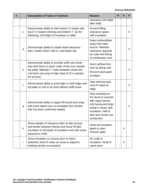| # |              | <b>Description of Task or Function</b>                                                                                                                                                                                    | <b>Reason</b>                                                                                                                                                                 | K | S | A  |
|---|--------------|---------------------------------------------------------------------------------------------------------------------------------------------------------------------------------------------------------------------------|-------------------------------------------------------------------------------------------------------------------------------------------------------------------------------|---|---|----|
|   |              |                                                                                                                                                                                                                           | clearance full height<br>after folds.                                                                                                                                         |   |   |    |
|   | $\mathbf C$  | Demonstrate ability to fold metal in Z shape with<br>top 2" in toward chimney and bottom 1" out for<br>fastening, full height of insulation or taller.                                                                    | Prevent filling<br>clearance space<br>with insulation.                                                                                                                        |   |   | X. |
|   | $\mathsf{d}$ | Demonstrate ability to install metal clearance<br>dam. Fasten down, fold in, and fasten lap.                                                                                                                              | Keep combustibles<br>away from heat<br>source. Maintain<br>clearance required<br>by code and listing<br>of combustion vent.                                                   |   |   | X  |
|   | $\mathbf e$  | Demonstrate ability to provide soffit vent chute<br>and wind block or pack under chute over outside<br>top plate. Maintain 1" open between chute and<br>roof deck (set prop to high slope 8:12 or greater<br>for access). | Direct airflow from<br>vent up along roof.<br>Prevent wind wash<br>at edges.                                                                                                  |   |   | X  |
|   | $\mathsf{f}$ | Demonstrate ability to pack tight or stuff edge over<br>top plate to roof in an area without soffit vents.                                                                                                                | Stop wind and get<br>most R-value at<br>edge.                                                                                                                                 |   |   | X  |
|   | g            | Demonstrate ability to apply R8 faced duct wrap<br>with joints taped over un-insulated duct section<br>that has been confirmed sealed.                                                                                    | Stop sweating on<br>AC ducts in summer<br>with vapor barrier<br>(vb) facing and drips<br>inside in winter with<br>insulation. Half of<br>attic duct losses are<br>conduction. |   |   | X  |
|   | h            | Show sample of clearance dam at attic access<br>and border between floored and loose fill attic<br>insulation to full depth of insulation and with wood,<br>plywood or OSB.                                               | Allow full insulation<br>depth to dam.<br>Prevent spills.                                                                                                                     |   | X |    |
|   | i.           | Show insulation on access door or hatch,<br>fastened; show R value as close to adjacent<br>building section as practical.                                                                                                 | No voids in<br>insulation; Keep R<br>value even.                                                                                                                              |   | X |    |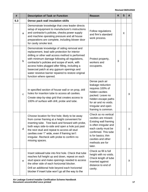| #   |             | <b>Description of Task or Function</b>                                                                                                                                                                                                                                                                                                                                                                                                  | <b>Reason</b>                                                                                                                                                                                                                   | K | S | A  |
|-----|-------------|-----------------------------------------------------------------------------------------------------------------------------------------------------------------------------------------------------------------------------------------------------------------------------------------------------------------------------------------------------------------------------------------------------------------------------------------|---------------------------------------------------------------------------------------------------------------------------------------------------------------------------------------------------------------------------------|---|---|----|
| 5.3 |             | Dense pack wall insulation skills                                                                                                                                                                                                                                                                                                                                                                                                       |                                                                                                                                                                                                                                 |   |   |    |
|     | a           | Demonstrate knowledge that crew leader directs<br>setup of equipment to manufacturer's instructions<br>and contractor's policies, checks power supply<br>and machine operating pressure and all house<br>preparations are complete, including blower door<br>for cavity smoke test.                                                                                                                                                     | Follow regulations<br>and firm's standard<br>work process.                                                                                                                                                                      |   | X |    |
|     | $\mathsf b$ | Demonstrate knowledge of siding removal and<br>replacement, lead safe protection for interior<br>drilling or other wall access method is performed<br>with minimum damage following all regulations,<br>contractor's policies and scope of work, with<br>access holes plugged after filling, including a<br>basecoat patch at any gypsum openings and<br>water resistive barrier repaired to restore original<br>function where opened. | Protect property,<br>workers and<br>occupants.                                                                                                                                                                                  | X |   |    |
|     | $\mathbf c$ | In specified section of house wall or on prop, drill<br>holes for insertion tube to access all cavities.<br>Create step-by-step grid that creates access to<br>100% of surface with drill, probe and tube.                                                                                                                                                                                                                              | Dense pack air<br>leakage reduction<br>requires 100% of<br>hidden cavities<br>packed. Leave no<br>hidden escape paths<br>for air and no voids.<br>Irregular and open<br>framing is common.                                      |   |   | X  |
|     | d           | Choose location for first hole; likely to be away<br>from corner framing at a height convenient for<br>inserting tube. Test back and forward with probe,<br>both ways side-to-side and open a hole just past<br>the next stud and repeat to access all stud<br>cavities over 1" wide, even if framing isn't<br>irregular. Recheck with probe to confirm no<br>missing spaces.                                                           | Check so no vertical<br>cavities are missed.<br><b>Existing wall framing</b><br>is often irregular and<br>each cavity must be<br>confirmed. This tube<br>is for basics; thin<br>cavities and other<br>methods are for<br>later. |   |   | X  |
|     | e           | Insert sidewall tube into first hole. Check that tube<br>reaches full height up and down, repeat on each<br>stud space and make openings needed to access<br>the other side of each horizontal blocker.<br>Drill an additional hole beyond each horizontal<br>blocker if insert tube won't go all the way to the                                                                                                                        | Check so fill is full<br>height with no voids.<br>Check length of tube<br>inserted against<br>distance to end of<br>cavity.                                                                                                     |   |   | X. |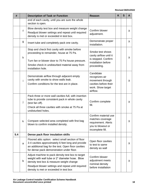| #   |    | <b>Description of Task or Function</b>                                                                                                                                                                                                           | <b>Reason</b>                                                                                             | K | S | A  |
|-----|----|--------------------------------------------------------------------------------------------------------------------------------------------------------------------------------------------------------------------------------------------------|-----------------------------------------------------------------------------------------------------------|---|---|----|
|     |    | end of each cavity, until you are sure the whole<br>section is open.                                                                                                                                                                             |                                                                                                           |   |   |    |
|     | f  | Blow density test box and measure weight change<br>Readjust blower settings and repeat until required<br>density is met or exceeded in test box.                                                                                                 | Confirm blower<br>adjustment.                                                                             |   |   | X  |
|     | g  | Insert tube and completely pack one cavity.                                                                                                                                                                                                      | Demonstrate proper<br>installation.                                                                       |   |   | X  |
|     | h  | Stop and check first cavity with smoke before<br>proceeding to remainder, house at 75 Pa.<br>Turn fan or blower door to 75 Pa house pressure.<br>Smoke check in undisturbed material away from<br>installation hole.                             | Smoke test shows<br>cavity airflow until it<br>is stopped. Confirm<br>installation before<br>proceeding.  |   |   | X  |
|     | i. | Demonstrate airflow through adjacent empty<br>cavity with smoke to show walls leak.<br>Confirm conditions for the test are in place.                                                                                                             | Candidate<br>recognizes air<br>movement through<br>cavities before their<br>work. Show target<br>airflow. |   |   | X  |
|     | j  | Pack three or more wall cavities full, with insertion<br>tube to provide consistent pack in whole cavity<br>(test fan off).<br>Check all three cavities with smoke at 75 Pa at<br>undisturbed holes.                                             | Confirm complete<br>fill.                                                                                 |   |   | X  |
|     | k  | Compare selected area completed with first bag<br>blown to confirm installed density.                                                                                                                                                            | Confirm material use<br>matches coverage<br>requirement. Alerts<br>you to blowout or<br>incomplete fill.  |   |   | Χ  |
| 5.4 |    | Dense pack floor insulation skills                                                                                                                                                                                                               |                                                                                                           |   |   |    |
|     | a  | Floored attic option: select small section of floor<br>3-4 cavities approximately 6 feet long and provide<br>an additional bag for the test. Open floor cavities<br>for dense pack demonstration under floor.                                    | Open floor cavities<br>to test to same<br>density as wall                                                 |   |   | X. |
|     | b  | Adjust machine to pack density test box to target<br>weight with wall tube or 2" diameter hose. Blow<br>density test box & measure weight change<br>Readjust blower settings and repeat until required<br>density is met or exceeded in test box | Confirm blower<br>adjustment meets<br>nominal density<br>before installation                              |   |   | X  |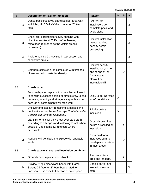| #   |              | <b>Description of Task or Function</b>                                                                                                                                                             | <b>Reason</b>                                                                                                  | K | S | A       |
|-----|--------------|----------------------------------------------------------------------------------------------------------------------------------------------------------------------------------------------------|----------------------------------------------------------------------------------------------------------------|---|---|---------|
|     | $\mathbf{C}$ | Dense pack first cavity specified floor area with<br>wall tube, alt: 1.5-1.75" diam. tube, or 2"diam<br>hose.                                                                                      | Get feel for<br>installation, get<br>complete pack, and<br>avoid clogs                                         |   |   | X       |
|     | d            | Check first packed floor cavity opening with<br>chemical smoke at 75 Pa. before blowing<br>remainder. (adjust to get no visible smoke<br>movement)                                                 | Confirm installation<br>meets required<br>density before<br>proceeding                                         |   |   | X       |
|     | $\mathbf e$  | Pack remaining 2-3 cavities in test section and<br>check with smoke                                                                                                                                |                                                                                                                |   |   | $\sf X$ |
|     | $\mathsf{f}$ | Compare selected area completed with first bag<br>blown to confirm installed density.                                                                                                              | Confirm density<br>installed as you go<br>and at end of job.<br>Alerts you to<br>blowout or<br>incomplete fill |   | X |         |
| 5.5 |              | <b>Crawlspace</b>                                                                                                                                                                                  |                                                                                                                |   |   |         |
|     | a            | For crawlspace prep: confirm crew leader looked<br>to confirm bypasses sealed or directs crew to seal<br>remaining openings; drainage acceptable and no<br>hazards or contaminants will stop work. | Okay to go. No "stop<br>work" conditions.                                                                      | X |   |         |
|     | b            | Uncover and seal any remaining bypasses and<br>duct leaks as per the Air Leakage Control Installer<br>Certification Scheme Handbook.                                                               | Priority before<br>insulation.                                                                                 | X |   |         |
|     | $\mathbf C$  | Lay 6-mil or thicker poly sheet over bare earth<br>extending to all edges and fastening to wall where<br>possible. Lap seams 12" and seal where<br>accessible.                                     | Ground cover first,<br>before all sealing or<br>insulation.                                                    |   | X |         |
|     | d            | Reduce wall ventilation to 1/1500 with operable<br>vents.                                                                                                                                          | Extra outdoor air<br>increases summer<br>crawlspace moisture<br>in most areas.                                 |   | X |         |
| 5.6 |              | <b>Crawlspace wall seal and insulation combined</b>                                                                                                                                                |                                                                                                                |   |   |         |
|     | a            | Ground cover in place, vents blocked.                                                                                                                                                              | Reduce surface<br>area and leakage.                                                                            |   | X |         |
|     | b            | Provide 2" rigid fiber glass board with Flame<br>Spread 25 facer or 2" foam board rated for<br>uncovered use over 4x4 section of crawlspace                                                        | Sealed barrier and<br>insulation in one<br>step.                                                               |   |   | X.      |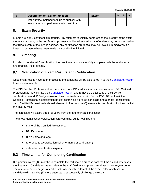|  | <b>Description of Task or Function</b>           | Reason |  |  |
|--|--------------------------------------------------|--------|--|--|
|  | wall surface, notched to fit up to subfloor with |        |  |  |
|  | joints taped and perimeter sealed with foam.     |        |  |  |

# <span id="page-22-0"></span>**8. Exam Security**

Exams are highly confidential materials. Any attempts to willfully compromise the integrity of the exam, the exam process, or the certification process shall be taken seriously; offenders may be prosecuted to the fullest extent of the law. In addition, any certification credential may be revoked immediately if a breach is proven to have been made by a certified individual.

# <span id="page-22-1"></span>**9. Granting**

In order to receive ALC certification, the candidate must successfully complete both the oral (verbal) and practical (field) exams.

#### $9.1$ **Notification of Exam Results and Certification**

Once exam results have been processed the candidate will be able to log in to their [Candidate Account](http://www.bpi.org/login) to view exam results.

The BPI Certified Professional will be notified once BPI certification has been awarded. BPI Certified Professionals may log into their [Candidate Account](https://spero.bpi.org/) and retrieve a digital copy of their active certification(s) and ID Badge to use on their mobile device or print from a PDF. BPI will mail the Certified Professional a certification packet containing a printed certificate and a photo identification card. Certified Professionals should allow up to four to six (4-6) weeks after certification for their packet to arrive by mail.

The certificate will expire three (3) years from the date of initial certification.

The photo identification certification card contains, but is not limited to:

- name of the Certified Professional
- BPI ID number
- BPI's name and logo
- reference to a certification scheme (name of certification)
- date when certification expires

#### $9.2$ **Time Limits for Completing Certification**

BPI permits twelve (12) months to complete the certification process from the time a candidate takes the first exam. Candidates may challenge the ALC field exam up to six (6) times in a one-year period. The one-year period begins after the first unsuccessful attempt of the exam, after which time a candidate will have five (5) more attempts to successfully challenge the exam.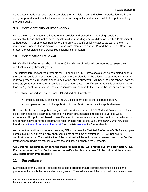Candidates that do not successfully complete the ALC field exam and achieve certification within the one-year period, must wait for the one-year anniversary of the first unsuccessful attempt to challenge the exam again.

#### $9.3$ **Confidentiality of Information**

BPI and BPI Test Centers shall adhere to all policies and procedures regarding candidate confidentiality and shall not release any information regarding any candidate or Certified Professional without obtaining prior written permission. BPI provides confidentiality clauses as part of the online registration process. These disclosure clauses are intended to assist BPI and the BPI Test Center to protect the candidate's or Certified Professional's information.

# <span id="page-23-0"></span>**10. Certification Renewal**

BPI Certified Professionals who hold the ALC Installer certification will be required to renew their certification every three (3) years.

The certification renewal requirements for BPI certified ALC Professionals must be completed prior to the current certification expiration date. Certified Professionals will be allowed to start the certification renewal process six (6) months prior to expiration, and if successful, will have the next renewal date as three (3) years from the current certification expiration date. If certification renewal is completed more than six (6) months in advance, the expiration date will change to the date of the last successful exam.

To be eligible for certification renewal, BPI certified ALC Installers:

- must successfully challenge the ALC field exam prior to the expiration date, OR
- complete and submit the application for certification renewal with applicable fees

BPI's certification renewal policy recognizes the work experience of BPI Certified Professionals. This policy eliminates field exam requirements in certain circumstances according to verified work experience. This policy will benefit those Certified Professionals who maintain continuous certification and remain active in-home performance roles. Please refer to the *BPI Certification Renewal Policy* found in the [Recertification section for ALC](http://www.bpi.org/certified-professionals/air-leakage-control-installer#anchor-two) on the BPI [website](http://www.bpi.org/certified-professionals/air-leakage-control-installer#anchor-two) for further details.

As part of the certification renewal process, BPI will review the Certified Professional's file for any open complaints. Should there be any open complaints at the time of expiration, BPI will not award certification renewal. The certification of the individual will be withdrawn or revoked due to the Certified Professional's negligent refusal to follow the certification scheme requirements.

**\*Any attempt at certification renewal that is unsuccessful will end the current certification. (e.g. if an attempt at the ALC field exam for recertification is unsuccessful, that will end the current ALC certification immediately.)**

# <span id="page-23-1"></span>**11. Surveillance**

Surveillance of the Certified Professional is established to ensure compliance to the policies and procedures for which the certification was granted. The certification of the individual may be withdrawn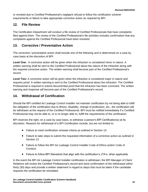or revoked due to Certified Professional's negligent refusal to follow the certification scheme requirements or failure to take appropriate corrective action as required by BPI.

# <span id="page-24-0"></span>**12. File Review**

The Certification Department will conduct a file review of Certified Professionals that have complaints filed against them. The review of the Certified Professional's file activities includes confirmation that any complaints against the Certified Professional have been resolved.

# <span id="page-24-1"></span>**13. Corrective / Preventative Action**

The corrective / preventative action shall include one of the following and is determined on a case by case basis at the discretion of BPI:

**Level One:** A corrective action will be given when the infraction is considered minor in nature. A written warning shall be sent to the Certified Professional about the nature of the infraction along with the required corrective action. The written warning shall become part of the Certified Professional's record.

**Level Two:** A corrective action will be given when the infraction is considered major in nature and requires proof. A written warning is sent to the Certified Professional about the infraction. The Certified Professional is required to submit documented proof that the infraction has been corrected. The written warning and response will become part of the Certified Professional's record.

# <span id="page-24-2"></span>**14. Withdrawal of Certification**

Should the BPI certified Air Leakage Control Installer not maintain certification by not being able to fulfill the obligation of the certification due to illness, disability, change of profession, etc., the certification will be withdrawn at the request of the Certified Professional. BPI must be notified immediately if a Certified Professional may not be able to, or is no longer able to, fulfill the requirements of the certification.

BPI reserves the right, on a case by case basis, to withdraw a person's BPI Certification(s) at its discretion. Reasons for withdrawal of a BPI Certification include, but are not limited to:

- Failure to meet certification renewal criteria as outlined in Section 10
- Failure to take steps to submit the requested information of a corrective action as outlined in Section 13
- Failure to follow the BPI Air Leakage Control Installer Code of Ethics and/or Code of **Conduct**
- Failure to follow BPI Standards that align with the certification's JTA's, when applicable

In the event the BPI Air Leakage Control Installer certification is withdrawn; the BPI Manager of Client Relations will review the Certified Professional's record and send confirmation of the withdrawal within thirty (30) days and provide a written statement in regard to steps that must be taken if the candidate requests the certification be reinstated.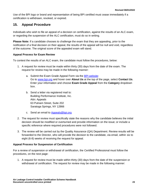Use of the BPI logo or brand and representation of being BPI certified must cease immediately if a certification is withdrawn, revoked, or expired.

# <span id="page-25-0"></span>**15. Appeal Procedure**

Individuals who wish to file an appeal of a decision on certification, against the results of an ALC exam, or regarding the suspension of the ALC certification, must do so in writing.

**Please Note:** If a candidate chooses to challenge the exam that they are appealing, prior to the notification of a final decision on their appeal, the results of the appeal will be null and void, regardless of the outcome. The original score of the appealed exam will stand.

## **Appeal Process for Exam Review**

To contest the results of an ALC exam, the candidate must follow the procedures, below:

- 1. A request for review must be made within thirty (30) days from the date of the exam. The request for review may be made in the following manner:
	- a. Submit the Exam Grade Appeal Form via the [BPI website:](http://www.bpi.org/about-us/contact-us) Go to [www.bpi.org](http://www.bpi.org/) and hover over **About Us** at the top of the page, select **Contact Us**. Enter your information and choose **Exam Grade Appeal** from the **Category** dropdown box.
	- b. Send a letter via registered mail to: Building Performance Institute, Inc. Attn: Appeals 63 Putnam Street, Suite 202 Saratoga Springs, NY 12866
	- c. Send an email to [Appeals@bpi.org](mailto:Appeals@bpi.org)
- 2. The request for review must specifically state the reasons why the candidate believes the initial decision should be modified or overturned and provide information on the issue; or include a specific reference where required procedures were not followed.
- 3. The review will be carried out by the Quality Assurance (QA) Department. Review results will be forwarded to the Director, who will provide the decision to the candidate, via email, within six to eight (6-8) weeks of receiving the request for appeal.

## **Appeal Process for Suspension of Certification**

For a review of suspension or withdrawal of certification, the Certified Professional must follow the procedures, on the next page:

1. A request for review must be made within thirty (30) days from the date of the suspension or withdrawal of certification. The request for review may be made in the following manner: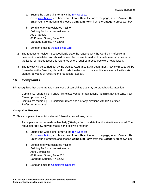- a. Submit the Complaint Form via the [BPI website:](http://www.bpi.org/about-us/contact-us) Go to [www.bpi.org](http://www.bpi.org/) and hover over **About Us** at the top of the page, select **Contact Us**. Enter your information and choose **Complaint Form** from the **Category** dropdown box.
- b. Send a letter via registered mail to: Building Performance Institute, Inc. Attn: Appeals 63 Putnam Street, Suite 202 Saratoga Springs, NY 12866
- c. Send an email to [Appeals@bpi.org](mailto:Appeals@bpi.org)
- 2. The request for review must specifically state the reasons why the Certified Professional believes the initial decision should be modified or overturned and provide new information on the issue; or include a specific reference where required procedures were not followed.
- 3. The review will be carried out by the Quality Assurance (QA) Department. Review results will be forwarded to the Director, who will provide the decision to the candidate, via email, within six to eight (6-8) weeks of receiving the request for appeal.

# <span id="page-26-0"></span>**16. Complaints**

BPI recognizes that there are two main types of complaints that may be brought to its attention:

- Complaints regarding BPI and/or its related vendor organizations (administrative, testing, Test Center, proctor, etc.)
- Complaints regarding BPI Certified Professionals or organizations with BPI Certified Professionals on staff

## **Complaints Process**

To file a complaint, the individual must follow the procedures, below:

- 1. A complaint must be made within thirty (30) days from the date that the situation occurred. The request for review may be made in the following manner:
	- a. Submit the Complaint Form via the [BPI website:](http://www.bpi.org/about-us/contact-us) Go to [www.bpi.org](http://www.bpi.org/) and hover over **About Us** at the top of the page, select **Contact Us**. Enter your information and choose **Complaint Form** from the **Category** dropdown box.
	- b. Send a letter via registered mail to: Building Performance Institute, Inc. Attn: Complaints 63 Putnam Street, Suite 202 Saratoga Springs, NY 12866
	- c. Send an email to [Complaints@bpi.org](mailto:Complaints@bpi.org)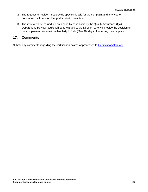- 2. The request for review must provide specific details for the complaint and any type of documented information that pertains to the situation.
- 3. The review will be carried out on a case by case basis by the Quality Assurance (QA) Department. Review results will be forwarded to the Director, who will provide the decision to the complainant, via email, within thirty to forty  $(30 - 40)$  days of receiving the complaint.

## <span id="page-27-0"></span>**17. Comments**

Submit any comments regarding the certification exams or processes to [Certification@bpi.org.](mailto:Certification@bpi.org)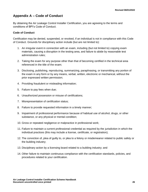# <span id="page-28-0"></span>**Appendix A – Code of Conduct**

By obtaining the Air Leakage Control Installer Certification, you are agreeing to the terms and conditions of BPI's Code of Conduct.

#### **Code of Conduct**

Certification may be denied, suspended, or revoked, if an individual is not in compliance with this Code of Conduct. Grounds for disciplinary action include (but are not limited to):

- 1. An irregular event in connection with an exam, including (but not limited to) copying exam materials, causing a disruption in the testing area, and failure to abide by reasonable test administration rules;
- 2. Taking the exam for any purpose other than that of becoming certified in the technical area referenced in the title of the exam;
- 3. Disclosing, publishing, reproducing, summarizing, paraphrasing, or transmitting any portion of the exam in any form or by any means, verbal, written, electronic or mechanical, without the prior expressed written permission;
- 4. Providing fraudulent or misleading information;
- 5. Failure to pay fees when due;
- 6. Unauthorized possession or misuse of certifications;
- 7. Misrepresentation of certification status;
- 8. Failure to provide requested information in a timely manner;
- 9. Impairment of professional performance because of habitual use of alcohol, drugs, or other substance, or any physical or mental condition;
- 10. Gross or repeated negligence or malpractice in professional work;
- 11. Failure to maintain a current professional credential as required by the jurisdiction in which the individual practices (this may include a license, certificate, or registration);
- 12. The conviction of, plea of guilty to, or plea to a felony or misdemeanor related to public safety or the building industry;
- 13. Disciplinary action by a licensing board related to a building industry; and
- 14. Other failure to maintain continuous compliance with the certification standards, policies, and procedures related to your certification.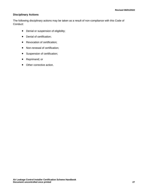## **Disciplinary Actions**

The following disciplinary actions may be taken as a result of non-compliance with this Code of Conduct:

- Denial or suspension of eligibility;
- Denial of certification;
- Revocation of certification;
- Non-renewal of certification;
- Suspension of certification;
- Reprimand; or
- Other corrective action.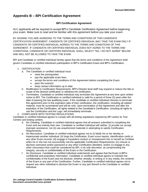# <span id="page-30-0"></span>**Appendix B – BPI Certification Agreement**

#### **BPI Certification Agreement**

ALC applicants will be required to accept BPI's Candidate Certification Agreement before beginning your exam. Make sure to read and be familiar with this agreement before you take your exam.

BY SIGNING YOU ARE AGREEING TO THE TERMS AND CONDITIONS OF THIS CANDIDATE CERTIFICATION AGREEMENT. CANDIDATE OR CERTIFIED INDIVIDUAL MAY TAKE THE EXAM ONLY IF CANDIDATE OR CERTIFIED INDIVIDUAL AGREES TO THE TERMS AND CONDITIONS OF THIS AGREEMENT. IF CANDIDATE OR CERTIFIED INDIVIDUAL DOES NOT AGREE TO THE TERMS AND CONDITIONS, CANDIDATE OR CERTIFIED INDIVIDUAL SHALL SELECT "NO, I DO NOT AGREE" BELOW AND WILL NOT BE ALLOWED TO TAKE THE EXAM.

BPI and Candidate or certified individual hereby agree that the terms and conditions of the Agreement shall govern Candidate or certified individual's participation in BPI's Certification Exam and BPI's Certification.

#### 1. CERTIFICATION

- a. The Candidate or certified individual must:
	- meet the prerequisites
		- pay the applicable exam fees;
		- accept the terms and conditions of this Agreement before completing the Exam;
		- pass the exam(s)
		- keep contact information up to date
- b. Modification to Certification Requirements. BPI's Director level staff may expand or reduce the title or scope of the desired certification or withdraw the certification.
- c. Termination. Candidate or certified individual may terminate this Agreement at any time upon written notice to BPI. The Certification or certified individual is valid for a period of three (3) years after the date of passing the last qualifying exam. If the candidate or certified individual chooses to terminate this agreement prior to the expiration date of their certification, the certification, including all related material, must be surrendered and will be void. Upon termination of this Agreement and after the expiration of the Certification, all rights related to the Candidate's Certification, including all rights to use the Certification and the Logo, will immediately terminate.

#### 2. COMPLIANCE WITH TESTING REGULATIONS

Candidate or certified individual agrees to comply with all testing regulations required by BPI and/or its Test Centers and testing centers.

- d. No Cheating. Candidate or certified individual agrees that all answers submitted in completing the Exam and are entirely their own. Candidate or certified individual will neither: (i) provide nor accept improper assistance; nor (ii) use unauthorized materials in attempting to satisfy Certification Requirements.
- e. No Misconduct. Candidate or certified individual agrees not to (i) falsify his or her identity or impersonate another individual; (ii) forge the Certification, Exam score reports, identification cards or any other Exam records; (iii) engage in fraudulent conduct or misrepresent him or herself as Certified when he or she has not successfully met the applicable Certification Requirements; (iv) misuse or disclose username and/or password or any other Certification identities; and/or (v) engage in any other misconduct that could be considered by BPI, in its sole discretion, as compromising the integrity, security or confidentiality of the Exam or the Certification.
- f. No Disclosure. Candidate or certified individual understands and agrees that the Exam is BPI's confidential and proprietary information. Candidate or certified individual agrees to maintain the confidentiality of the Exam and not disclose, whether verbally, in writing or in any media, the contents of the Exam or any part of the Certification. Further, Candidate or certified individual agrees not to request any other individual to disclose the Exam or any part thereof to the Candidate or certified individual.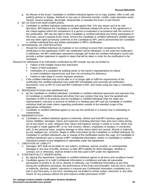- g. No Misuse of the Exam. Candidate or certified individual agrees not to copy, publish, offer to sell, sell, publicly perform or display, distribute in any way or otherwise transfer, modify, make derivative works thereof, reverse engineer, decompile, disassemble or translate the Exam or part thereof.
- 3. BPI ACTION FOR NON-COMPLIANCE
	- h. Candidate or certified individual understands and agrees that, if for any reason and at its sole discretion, BPI believes the Candidate or certified individual violated the terms of this agreement or the criteria against which the competence of a person is evaluated in accordance with the scheme of the certification. BPI has the right to deny Candidate or certified individual any further participation in the Exam, cancel a passed Exam result, remove the Candidate or certified individual's certified status and any other rights previously conferred on the Candidate by BPI, and to permanently bar Candidate or certified individual from any further participation in BPI's Certification.
- 4. WITHDRAWAL OF CERTIFICATION
	- Should the certified individual not maintain or not continue to prove their competence for this certification to the satisfaction of BPI, the certification will be withdrawn. In the event the certification is withdrawn, the BPI certification operations manager will review the certified individual's record and provide a written statement in regards to steps that will be taken in order for the certification to be reinstated.

Reasons for withdrawal of an individual's certification by BPI include, but are not limited to:

- Failure of the multiple choice test instrument.
- Failure of field evaluation.
- Verification of a complaint by building owner or the owner's representative for failure to meet installation requirements and then not correcting the deficiency.
- Failure to take steps to correct improper practices.
- j. If the certified individual may not be able or is no longer able to fulfill the requirements of the certification the certified individual must notify BPI immediately and surrender all certification documents, such as BPI ID Card and BPI Certificate to BPI, and cease using any logo or marketing materials.
- 5. REPRESENTATIONS AND WARRANTIES
	- k. By the Candidate or certified individual. Candidate or certified individual represents and warrants that: (i) Candidate or certified individual will refrain from any conduct that may harm the goodwill and reputation of BPI or its products and (ii) Candidate or certified individual shall not make any representation, warranty or promise on behalf of or binding upon BPI and (iii) Candidate or certified individual shall not make claims regarding certification outside of the intended scope of the appropriate certification.
	- l. Candidate or certified individual agrees to not use the certificate in a manner that is misleading or unwarranted.
- 6. INDEMNIFICATION
	- m. Candidate or certified individual agrees to indemnify, defend and hold BPI harmless against any losses, liabilities, damages, claims and expenses (including attorneys' fees and court costs) arising out of any claims or suits, whatever their nature and however arising, in whole or in part, which may be brought or made against BPI, or its Test Centers, officers, employees or assigns, in connection with: (i) any personal injury, property damage or other claims which are caused, directly or indirectly by any negligent act, omission, illegal or willful misconduct by the Candidate or certified individual, (ii) Candidate or certified individual's use or misuse of the Certification and/or the Logo; (iv) Candidate or certified individual's use or misuse of BPI' confidential information; and/or (v) Candidate or certified individual's breach of any obligations or warranties under this Agreement.
- 7. LIMITATION OF LIABILITY
	- n. Damages. BPI shall not be liable for any indirect, incidental, special, punitive, or consequential damages or any loss of profits, revenue, or data. BPI's liability for direct damages, whether in contract, tort or otherwise, shall be limited to the fees paid to BPI under this Agreement.
- 8. CONFIDENTIALITY UNDERTAKING
	- o. By signing this Agreement, Candidate or certified individual agrees to all terms and conditions herein
	- p. Candidate agrees (i) to hold Confidential Information in confidence and take all reasonable precautions to protect it, (ii) not to, directly or indirectly, use Confidential Information at any time during the certification procedure, the performance of the Exam and thereafter, and (iii) not to, directly or indirectly, disclose, publish, reproduce or transmit any Confidential Information completely or in part to any third party, in any form, including but not limited to verbal, written, electronic or any other means for any purpose without the prior express written permission of BPI.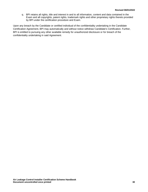q. BPI retains all rights, title and interest in and to all information, content and data contained in the Exam and all copyrights, patent rights, trademark rights and other proprietary rights thereto provided by BPI under the certification procedure and Exam.

Upon any breach by the Candidate or certified individual of the confidentiality undertaking in the Candidate Certification Agreement, BPI may automatically and without notice withdraw Candidate's Certification. Further, BPI is entitled to pursuing any other available remedy for unauthorized disclosure or for breach of the confidentiality undertaking in said Agreement.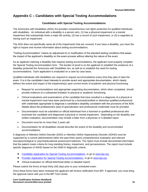# <span id="page-33-0"></span>**Appendix C – Candidates with Special Testing Accommodations**

#### **Candidates with Special Testing Accommodations**

The Americans with Disabilities (ADA) Act provides comprehensive civil rights protection for qualified individuals with disabilities. An individual with a disability is a person who: (1) has a physical impairment or a mental impairment that substantially limits a major life activity, (2) has a record of such impairment, or (3) is regarded as having such an impairment.

The ADA does not specifically name all of the impairments that are covered. If you have a disability, you have the right to inquire and receive information about testing accommodations.

"Testing Accommodation" means an adjustment to or modification of the standard testing conditions that eases the impact of the applicant's disability on the exam process without altering the nature of the exam.

As an applicant claiming a disability that requires testing accommodations, the applicant must properly complete the Special Testing Accommodation form. The burden of proof is on the applicant to establish the existence of a disability protected the Americans with Disabilities Act, as well as to establish the need for testing accommodations. Each application is evaluated on a case by case basis.

Qualified individuals with disabilities are required to request accommodations every time they plan to take the exam. It is in the candidate's best interests to provide recent and appropriate documentation, which clearly defines the extent and impact of the impairment(s) upon current levels of academic and physical functioning.

- Request for accommodations and appropriate supporting documentation, which when completed, should provide evidence of a substantial limitation to physical or academic functioning.
- Clinical evaluations and examinations of the candidate that have resulted in a diagnosis of a physical or mental impairment must have been performed by a licensed/certified or otherwise qualified professional with credentials appropriate to diagnose a candidate's disability consistent with the provisions of the ADA. Details about the professional's area of specialization and professional credentials must be provided.
- Documentation must be submitted on official letterhead from a licensed or qualified professional who examined the candidate and diagnosed a physical or mental impairment. Depending on the disability and written evaluation, documentation may include a letter from a physician or a detailed report.
- Document must be no more than 3 years old.
- Documentation for all disabilities should describe the extent of the disability and recommended accommodations.

A diagnosis of Attention Deficit Disorder (ADD) or Attention Deficit Hyperactivity Disorder (ADHD) must be supported by a current (administered within the past three years) comprehensive evaluation and relevant neuropsychological or psychoeducational assessment batteries. The report must include documented information that the patient meets criteria for long standing history, impairment, and pervasiveness. The report must include specific diagnosis of ADHD based on the DSM-IV diagnostic criteria.

- [Candidate Application for Special Testing Accommodations,](http://www.bpi.org/certified-professionals/testing-accommodations) or go t[o www.bpi.org](http://www.bpi.org/)
- [Provider Application for Special Testing Accommodations,](http://www.bpi.org/certified-professionals/testing-accommodations) or go to www.bpi.org
- Clinical evaluation on official letterhead (letter or detailed report)

Please submit the forms at least thirty (30) days prior to your scheduled exam.

Once these forms have been reviewed the applicant will receive notification from BPI. If approved, you must bring the approval notice with you to the BPI Test Center.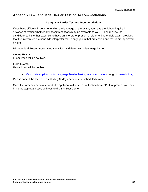# <span id="page-34-0"></span>**Appendix D – Language Barrier Testing Accommodations**

## **Language Barrier Testing Accommodations**

If you have difficulty in comprehending the language of the exam, you have the right to inquire in advance of testing whether any accommodations may be available to you. BPI shall allow the candidate, at his or her expense, to have an interpreter present at either online or field exam, provided that the interpreter is a bona fide interpreter that is engaged in that profession and that is pre-approved by BPI.

BPI Standard Testing Accommodations for candidates with a language barrier.

## **Online Exams:**

Exam times will be doubled.

## **Field Exams:**

Exam times will be doubled.

• [Candidate Application for Language Barrier Testing Accommodations,](http://www.bpi.org/certified-professionals/testing-accommodations) or go to [www.bpi.org](http://www.bpi.org/)

Please submit the form at least thirty (30) days prior to your scheduled exam.

Once the form has been reviewed, the applicant will receive notification from BPI. If approved, you must bring the approval notice with you to the BPI Test Center.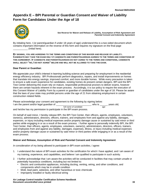# <span id="page-35-0"></span>**Appendix E – BPI Parental or Guardian Consent and Waiver of Liability Form for Candidates Under the Age of 18**



**See Reverse for Waiver and Release of Liability, Assumption of Risk Agreement and Parental Consent and Indemnity Agreement**

By initialing here, I (or parent/guardian if under 18 years of age) understand this is a two-sided document which contains important information on the reverse of this form and requires my signature on the final page \_\_\_\_\_\_\_\_\_\_\_ (Initial here).

**BY SIGNING, YOU ARE AGREEING TO THE TERMS AND CONDITIONS OF THIS WAIVER AND RELEASE OF LIABILITY. CANDIDATE MAY TAKE THE EXAM ONLY IF CANDIDATE AND PARENT/GUARDIAN AGREES TO THE TERMS AND CONDITIONS OF THIS AGREEMENT. IF CANDIDATE AND PARENT/GUARDIAN DO NOT AGREE TO THE TERMS AND CONDITIONS, CANDIDATE SHALL SELECT "NO, I DO NOT AGREE" BELOW AND WILL NOT BE ALLOWED TO TAKE THE EXAM.**

#### **Dear Parent or Guardian**:

We appreciate your child's interest in learning building science and preparing for employment in the residential energy efficiency industry. BPI Professionals perform diagnostics, repairs, and install improvements on homes that translate into energy savings, improved comfort, and more durable homes. While every precaution is taken to ensure a safe exam experience for candidates, existing homes do present certain dangers. BPI and the BPI Test Center delivering this exam rely on mature, responsible professional proctors to deliver exams, however there are certain hazards inherent in the exam process. Accordingly, it is our policy to require the execution of this Consent Waiver of Liability Form by a parent or guardian of candidates under the age of 18. Please be aware that the laws of your state may prohibit persons under the age of 21 from obtaining employment in certain construction related fields.

Please acknowledge your consent and agreement to the following by signing below: I am the parent and/or legal guardian of \_\_\_\_\_\_\_\_\_\_\_\_\_\_\_\_\_\_\_\_\_\_\_\_\_\_\_, who is \_\_\_\_\_\_ years old,  *full name of candidate age*

and he/she has my permission to participate in the BPI exam process.

On behalf of said minor, I hereby release BPI, the BPI Test Center, their officers, agents, employees, volunteers, owner(s), administrators, directors, officers, trainers, and employees from and against any liability, damages, expenses, or injury including medical expenses and/or property damage cause or sustained by said minor or third parties while engaging in or as a result of the exam process. I further agree to personally indemnify BPI, the BPI Test Center, their officers, agents, employees, volunteers, owner(s), administrators, directors, officers, trainers, and employees from and against any liability, damages, expenses, illness, or injury including medical expenses and/or property damage cause or sustained by said minor or third parties while engaging in or as a result of the exam process.

#### **Waiver and Release, Assumption of Risk and Parental Consent and Indemnity Agreement**

*In consideration of my being allowed to participate in BPI exam activities, I agree:*

- 1. I understand the nature of BPI exam activities for the certification for which I have applied, and I am aware of my training, experience, and capabilities, and believe I am qualified to participate in such activity.
- 2. I further acknowledge that I am aware the activities will be conducted in facilities that may contain unsafe or potentially hazardous conditions, including but not limited to:
	- Electric and combustion appliances, including ducting, venting, wiring, and other conditions, and components which may be in unsafe condition
	- Mold, lead paint, asbestos, and other hazardous or toxic chemicals
	- Improperly installed or faulty electrical wiring

**Air Leakage Control Installer Certification Scheme Handbook Document uncontrolled once printed 33**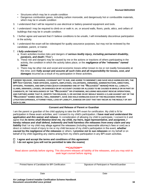- Structures which may be in unsafe condition
- Dangerous combustion gases, including carbon monoxide, and dangerously hot or combustible materials, which may be in unsafe condition
- 3. I understand that I will be required to use electrical or battery-powered equipment and tools.
- 4. I understand I may be required to climb on or walk in, on, or around walls, floors, yards, attics, and cellars of buildings that may be in unsafe condition.
- 5. I further agree and warrant that if I believe conditions to be unsafe, I will immediately discontinue participation in the activity.
- 6. I understand the exam will be videotaped for quality assurance purposes, but may not be reviewed by the candidate, parent, or trainer.
- 7. *I fully understand* that:
	- a. Exam activities involve risks and dangers of *serious bodily injury, including permanent disability, paralysis, and death* ("Risk").
	- b. These risk and dangers may be caused by me or the actions or inactions of others participating in the activity, the condition in which the activity takes place, or the *negligence of the "releasees" named below*.
	- c. There may be other risk and social and economic losses either known to me or not readily foreseeable at this time; and *I fully accept and assume all such risks and all responsibility for losses, cost, and damages* incurred as a result of my participation in these activities.

**I HEREBY RELEASE , DISCHARGE, COVENANT NOT TO SUE, AND AGREE TO INDEMNIFY AND SAVE HOLD HARMLESS BPI, THE**  BPI TEST CENTER, THEIR OFFICERS, AGENTS, EMPLOYEES, VOLUNTEERS, OWNER(S), ADMINISTRATORS, DIRECTORS, **OFFICERS, TRAINERS, AND EMPLOYEES (EACH CONSIDERED ONE OF THE "RELEASEES" HEREIN) FROM ALL LIABILITY, CLAIMS, DEMANDS, LOSSES, OR DAMAGES ON MY ACCOUNT CAUSED OR ALLEGED TO BE CAUSED IN WHOLE OR IN PART BY CANDIDATE, BY THE NEGLIGENCE OF THE "RELEASEES" OR OTHERWISE, INCLUDING NEGLIGENT RESCUE OPERATIONS, AND FURTHER AGREE THAT IF, DESPITE THIS RELEASE, I, OR ANYONE ON MY BEHALF MAKES A CLAIM AGAINST ANY OF THE "RELEASEES" NAMED ABOVE, I WILL INDEMNIFY, SAVE AND HOLD HARMLESS EACH OF THE RELEASEES FROM ANY LITIGATION EXPENSES, ATTORNEY FEES, LOSS OF LIABILITY, DAMAGE OR COST THAT MAY INCUR AS THE RESULT OF ANY SUCH CLAIM.**

#### **Consent and Release of Parent or Guardian**

I am the parent or guardian of the child applying to take the BPI exam for certification. My child is fit for participation in these exam activities, and I consent to my child's participation. *I have read and understand the application and this waiver and release*. In consideration of allowing my child to participate, I consent to it and agree that *its terms shall likewise bind me, my child, my heirs, legal representative, and assignees. I hereby release and shall defend, indemnify and hold harmless the releasees from every claim and any liability* that I or my child may allege against the releasees (including reasonable attorney's fees or cost) as a direct or indirect result of injury to me or my child because of my child's participation in the event, *whether caused by the negligence of the releasees* or others. **I** *promise not to sue releasees* on my behalf or on behalf of my child regarding any claims arising from my child's participation in any BPI exam activities.

 **I agree and accept the terms and conditions of this agreement**

 **I** *do not* **agree (you will not be permitted to take the exams)**

**\*\*\*CAUTION\*\*\***

Read above carefully before signing. This document releases all liability of the releasees, and you may wish to seek legal counsel before signing.

Printed Name of Candidate for BPI Certification Signature of Participant or Parent/Guardian

Date **Date** Date **Date** Date **Date** Date **Date**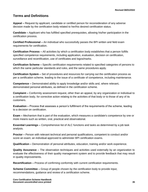# <span id="page-37-0"></span>**Terms and Definitions**

**Appeal –** Request by applicant, candidate or certified person for reconsideration of any adverse decision made by the certification body related to her/his desired certification status.

**Candidate –** Applicant who has fulfilled specified prerequisites, allowing his/her participation in the certification process.

**Certified Professional –** An individual who successfully passes the BPI written and field exam requirements for certification.

**Certification Process –** All activities by which a certification body establishes that a person fulfills specified competence requirements, including application, evaluation, decision on certification, surveillance and recertification, use of certificates and logos/marks.

**Certification Scheme –** Specific certification requirements related to specified categories of persons to which the same particular standards and rules, and the same procedures apply.

**Certification System –** Set of procedures and resources for carrying out the certification process as per a certification scheme, leading to the issue of a certificate of competence, including maintenance.

**Competence –** Demonstrated ability to apply knowledge and/or skills and, where relevant, demonstrated personal attributes, as defined in the certification scheme.

**Complaint –** Conformity assessment request, other than an appeal, by any organization or individual to a certification body, for corrective action relating to the activities of that body or to those of any of its customers.

**Evaluation –** Process that assesses a person's fulfillment of the requirements of the scheme, leading to a decision on certification.

**Exam –** Mechanism that is part of the evaluation, which measures a candidate's competence by one or more means such as written, oral, practical and observational.

**Essential Learnings –** Comprehensive list of ALC functions and tasks as determined by a job task analysis.

**Proctor –** Person with relevant technical and personal qualifications, competent to conduct and/or score an exam; an individual approved to administer BPI certification exams.

**Qualification –** Demonstration of personal attributes, education, training and/or work experience.

**Quality Assurance** – The observation techniques and activities used externally by an organization to evaluate the effectiveness of their quality management system and to provide feedback that may result in quality improvements.

**Recertification –** Process of confirming conformity with current certification requirements.

**Scheme Committee –** Group of people chosen by the certification body to provide input, recommendations, guidance and review of a certification scheme.